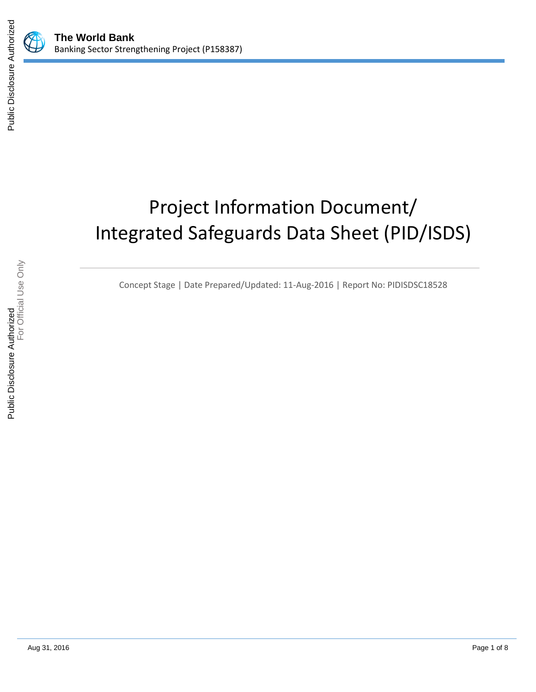

# Project Information Document/ Integrated Safeguards Data Sheet (PID/ISDS)

Concept Stage | Date Prepared/Updated: 11-Aug-2016 | Report No: PIDISDSC18528

Public Disclosure Authorized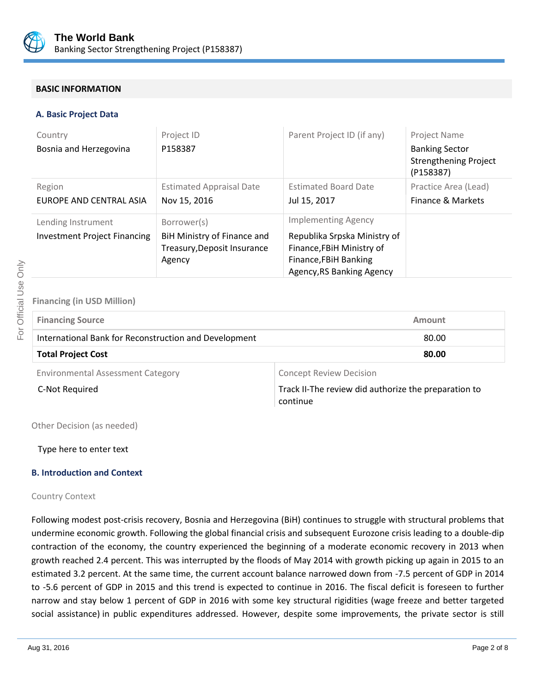

#### **BASIC INFORMATION**

#### **A. Basic Project Data**

| Country<br>Bosnia and Herzegovina                         | Project ID<br>P158387                                                               | Parent Project ID (if any)                                                                                                                    | <b>Project Name</b><br><b>Banking Sector</b><br><b>Strengthening Project</b><br>(P158387) |
|-----------------------------------------------------------|-------------------------------------------------------------------------------------|-----------------------------------------------------------------------------------------------------------------------------------------------|-------------------------------------------------------------------------------------------|
| Region<br>EUROPE AND CENTRAL ASIA                         | <b>Estimated Appraisal Date</b><br>Nov 15, 2016                                     | <b>Estimated Board Date</b><br>Jul 15, 2017                                                                                                   | Practice Area (Lead)<br>Finance & Markets                                                 |
| Lending Instrument<br><b>Investment Project Financing</b> | Borrower(s)<br>BiH Ministry of Finance and<br>Treasury, Deposit Insurance<br>Agency | <b>Implementing Agency</b><br>Republika Srpska Ministry of<br>Finance, FBiH Ministry of<br>Finance, FBiH Banking<br>Agency, RS Banking Agency |                                                                                           |

## **Financing (in USD Million)**

| <b>Financing Source</b>                               | Amount                   |
|-------------------------------------------------------|--------------------------|
| International Bank for Reconstruction and Development | 80.00                    |
| <b>Total Project Cost</b>                             | 80.00                    |
| Faissannachd Accessorat Cetersai                      | Canaant Davisus Daoisian |

Environmental Assessment Category **Concept Review Decision** 

C-Not Required **Track II-The review did authorize the preparation to** continue

Other Decision (as needed)

Type here to enter text

#### **B. Introduction and Context**

#### Country Context

Following modest post-crisis recovery, Bosnia and Herzegovina (BiH) continues to struggle with structural problems that undermine economic growth. Following the global financial crisis and subsequent Eurozone crisis leading to a double-dip contraction of the economy, the country experienced the beginning of a moderate economic recovery in 2013 when growth reached 2.4 percent. This was interrupted by the floods of May 2014 with growth picking up again in 2015 to an estimated 3.2 percent. At the same time, the current account balance narrowed down from -7.5 percent of GDP in 2014 to -5.6 percent of GDP in 2015 and this trend is expected to continue in 2016. The fiscal deficit is foreseen to further narrow and stay below 1 percent of GDP in 2016 with some key structural rigidities (wage freeze and better targeted social assistance) in public expenditures addressed. However, despite some improvements, the private sector is still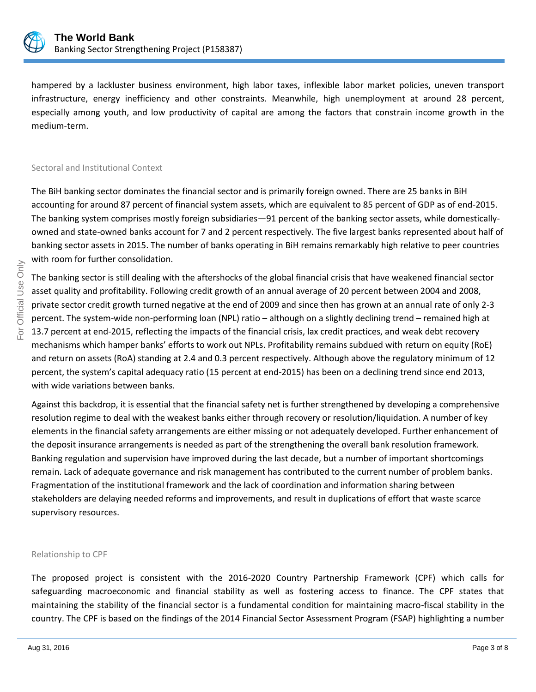

hampered by a lackluster business environment, high labor taxes, inflexible labor market policies, uneven transport infrastructure, energy inefficiency and other constraints. Meanwhile, high unemployment at around 28 percent, especially among youth, and low productivity of capital are among the factors that constrain income growth in the medium-term.

#### Sectoral and Institutional Context

The BiH banking sector dominates the financial sector and is primarily foreign owned. There are 25 banks in BiH accounting for around 87 percent of financial system assets, which are equivalent to 85 percent of GDP as of end-2015. The banking system comprises mostly foreign subsidiaries—91 percent of the banking sector assets, while domesticallyowned and state-owned banks account for 7 and 2 percent respectively. The five largest banks represented about half of banking sector assets in 2015. The number of banks operating in BiH remains remarkably high relative to peer countries with room for further consolidation.

The banking sector is still dealing with the aftershocks of the global financial crisis that have weakened financial sector asset quality and profitability. Following credit growth of an annual average of 20 percent between 2004 and 2008, private sector credit growth turned negative at the end of 2009 and since then has grown at an annual rate of only 2-3 percent. The system-wide non-performing loan (NPL) ratio – although on a slightly declining trend – remained high at 13.7 percent at end-2015, reflecting the impacts of the financial crisis, lax credit practices, and weak debt recovery mechanisms which hamper banks' efforts to work out NPLs. Profitability remains subdued with return on equity (RoE) and return on assets (RoA) standing at 2.4 and 0.3 percent respectively. Although above the regulatory minimum of 12 percent, the system's capital adequacy ratio (15 percent at end-2015) has been on a declining trend since end 2013, with wide variations between banks.

Against this backdrop, it is essential that the financial safety net is further strengthened by developing a comprehensive resolution regime to deal with the weakest banks either through recovery or resolution/liquidation. A number of key elements in the financial safety arrangements are either missing or not adequately developed. Further enhancement of the deposit insurance arrangements is needed as part of the strengthening the overall bank resolution framework. Banking regulation and supervision have improved during the last decade, but a number of important shortcomings remain. Lack of adequate governance and risk management has contributed to the current number of problem banks. Fragmentation of the institutional framework and the lack of coordination and information sharing between stakeholders are delaying needed reforms and improvements, and result in duplications of effort that waste scarce supervisory resources.

#### Relationship to CPF

The proposed project is consistent with the 2016-2020 Country Partnership Framework (CPF) which calls for safeguarding macroeconomic and financial stability as well as fostering access to finance. The CPF states that maintaining the stability of the financial sector is a fundamental condition for maintaining macro-fiscal stability in the country. The CPF is based on the findings of the 2014 Financial Sector Assessment Program (FSAP) highlighting a number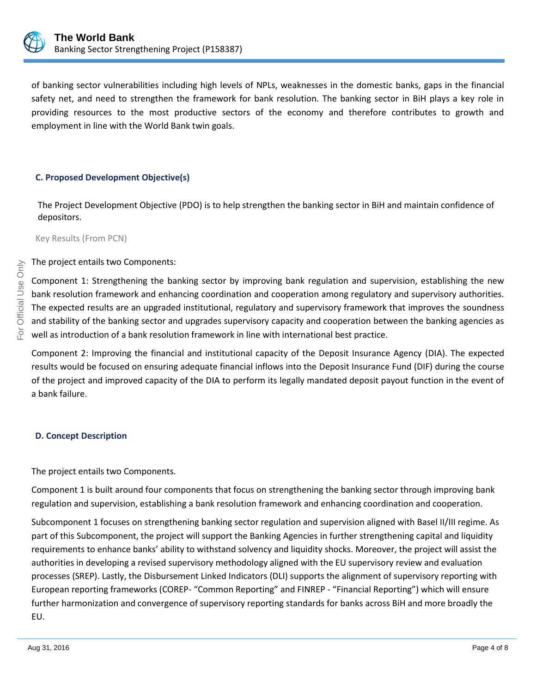

of banking sector vulnerabilities including high levels of NPLs, weaknesses in the domestic banks, gaps in the financial safety net, and need to strengthen the framework for bank resolution. The banking sector in BiH plays a key role in providing resources to the most productive sectors of the economy and therefore contributes to growth and employment in line with the World Bank twin goals.

#### **C. Proposed Development Objective(s)**

The Project Development Objective (PDO) is to help strengthen the banking sector in BiH and maintain confidence of depositors.

Key Results (From PCN)

The project entails two Components:

Component 1: Strengthening the banking sector by improving bank regulation and supervision, establishing the new bank resolution framework and enhancing coordination and cooperation among regulatory and supervisory authorities. The expected results are an upgraded institutional, regulatory and supervisory framework that improves the soundness and stability of the banking sector and upgrades supervisory capacity and cooperation between the banking agencies as well as introduction of a bank resolution framework in line with international best practice.

Component 2: Improving the financial and institutional capacity of the Deposit Insurance Agency (DIA). The expected results would be focused on ensuring adequate financial inflows into the Deposit Insurance Fund (DIF) during the course of the project and improved capacity of the DIA to perform its legally mandated deposit payout function in the event of a bank failure.

#### **D. Concept Description**

The project entails two Components.

Component 1 is built around four components that focus on strengthening the banking sector through improving bank regulation and supervision, establishing a bank resolution framework and enhancing coordination and cooperation.

Subcomponent 1 focuses on strengthening banking sector regulation and supervision aligned with Basel II/III regime. As part of this Subcomponent, the project will support the Banking Agencies in further strengthening capital and liquidity requirements to enhance banks' ability to withstand solvency and liquidity shocks. Moreover, the project will assist the authorities in developing a revised supervisory methodology aligned with the EU supervisory review and evaluation processes (SREP). Lastly, the Disbursement Linked Indicators (DLI) supports the alignment of supervisory reporting with European reporting frameworks (COREP- "Common Reporting" and FINREP - "Financial Reporting") which will ensure further harmonization and convergence of supervisory reporting standards for banks across BiH and more broadly the EU.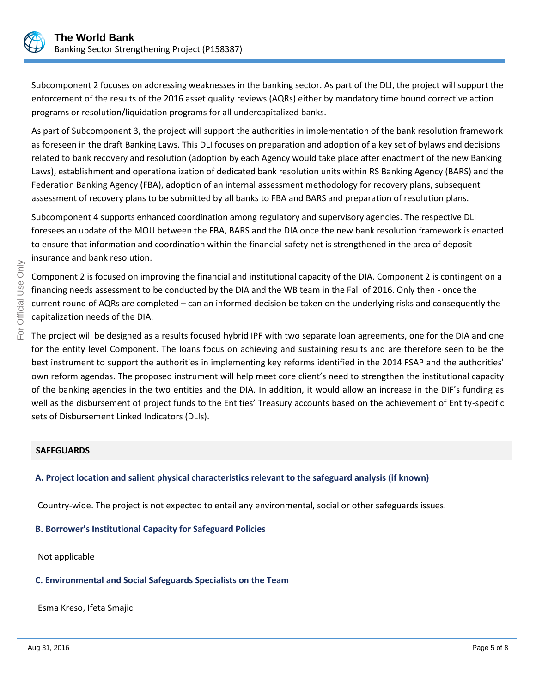

Subcomponent 2 focuses on addressing weaknesses in the banking sector. As part of the DLI, the project will support the enforcement of the results of the 2016 asset quality reviews (AQRs) either by mandatory time bound corrective action programs or resolution/liquidation programs for all undercapitalized banks.

As part of Subcomponent 3, the project will support the authorities in implementation of the bank resolution framework as foreseen in the draft Banking Laws. This DLI focuses on preparation and adoption of a key set of bylaws and decisions related to bank recovery and resolution (adoption by each Agency would take place after enactment of the new Banking Laws), establishment and operationalization of dedicated bank resolution units within RS Banking Agency (BARS) and the Federation Banking Agency (FBA), adoption of an internal assessment methodology for recovery plans, subsequent assessment of recovery plans to be submitted by all banks to FBA and BARS and preparation of resolution plans.

Subcomponent 4 supports enhanced coordination among regulatory and supervisory agencies. The respective DLI foresees an update of the MOU between the FBA, BARS and the DIA once the new bank resolution framework is enacted to ensure that information and coordination within the financial safety net is strengthened in the area of deposit insurance and bank resolution.

Component 2 is focused on improving the financial and institutional capacity of the DIA. Component 2 is contingent on a financing needs assessment to be conducted by the DIA and the WB team in the Fall of 2016. Only then - once the current round of AQRs are completed – can an informed decision be taken on the underlying risks and consequently the capitalization needs of the DIA.

The project will be designed as a results focused hybrid IPF with two separate loan agreements, one for the DIA and one for the entity level Component. The loans focus on achieving and sustaining results and are therefore seen to be the best instrument to support the authorities in implementing key reforms identified in the 2014 FSAP and the authorities' own reform agendas. The proposed instrument will help meet core client's need to strengthen the institutional capacity of the banking agencies in the two entities and the DIA. In addition, it would allow an increase in the DIF's funding as well as the disbursement of project funds to the Entities' Treasury accounts based on the achievement of Entity-specific sets of Disbursement Linked Indicators (DLIs).

#### **SAFEGUARDS**

## **A. Project location and salient physical characteristics relevant to the safeguard analysis (if known)**

Country-wide. The project is not expected to entail any environmental, social or other safeguards issues.

## **B. Borrower's Institutional Capacity for Safeguard Policies**

Not applicable

#### **C. Environmental and Social Safeguards Specialists on the Team**

Esma Kreso, Ifeta Smajic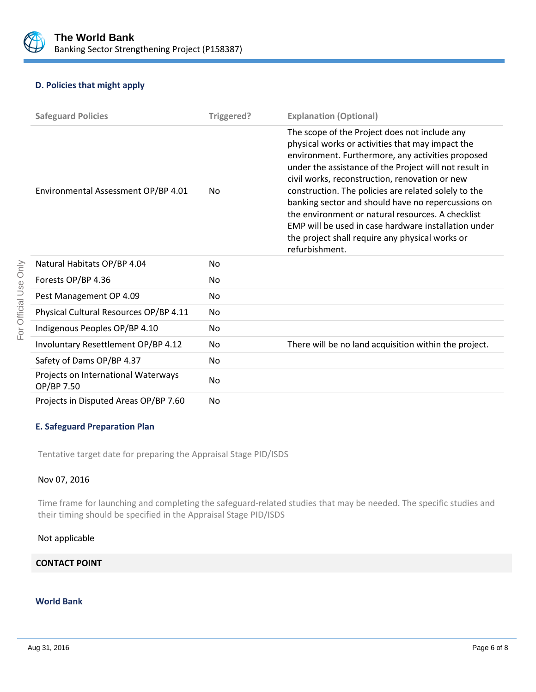

#### **D. Policies that might apply**

| <b>Safeguard Policies</b>                         | Triggered?     | <b>Explanation (Optional)</b>                                                                                                                                                                                                                                                                                                                                                                                                                                                                                                                                      |
|---------------------------------------------------|----------------|--------------------------------------------------------------------------------------------------------------------------------------------------------------------------------------------------------------------------------------------------------------------------------------------------------------------------------------------------------------------------------------------------------------------------------------------------------------------------------------------------------------------------------------------------------------------|
| Environmental Assessment OP/BP 4.01               | No.            | The scope of the Project does not include any<br>physical works or activities that may impact the<br>environment. Furthermore, any activities proposed<br>under the assistance of the Project will not result in<br>civil works, reconstruction, renovation or new<br>construction. The policies are related solely to the<br>banking sector and should have no repercussions on<br>the environment or natural resources. A checklist<br>EMP will be used in case hardware installation under<br>the project shall require any physical works or<br>refurbishment. |
| Natural Habitats OP/BP 4.04                       | No.            |                                                                                                                                                                                                                                                                                                                                                                                                                                                                                                                                                                    |
| Forests OP/BP 4.36                                | No.            |                                                                                                                                                                                                                                                                                                                                                                                                                                                                                                                                                                    |
| Pest Management OP 4.09                           | No.            |                                                                                                                                                                                                                                                                                                                                                                                                                                                                                                                                                                    |
| Physical Cultural Resources OP/BP 4.11            | No.            |                                                                                                                                                                                                                                                                                                                                                                                                                                                                                                                                                                    |
| Indigenous Peoples OP/BP 4.10                     | No.            |                                                                                                                                                                                                                                                                                                                                                                                                                                                                                                                                                                    |
| Involuntary Resettlement OP/BP 4.12               | No.            | There will be no land acquisition within the project.                                                                                                                                                                                                                                                                                                                                                                                                                                                                                                              |
| Safety of Dams OP/BP 4.37                         | No.            |                                                                                                                                                                                                                                                                                                                                                                                                                                                                                                                                                                    |
| Projects on International Waterways<br>OP/BP 7.50 | N <sub>o</sub> |                                                                                                                                                                                                                                                                                                                                                                                                                                                                                                                                                                    |
| Projects in Disputed Areas OP/BP 7.60             | No.            |                                                                                                                                                                                                                                                                                                                                                                                                                                                                                                                                                                    |

#### **E. Safeguard Preparation Plan**

Tentative target date for preparing the Appraisal Stage PID/ISDS

#### Nov 07, 2016

Time frame for launching and completing the safeguard-related studies that may be needed. The specific studies and their timing should be specified in the Appraisal Stage PID/ISDS

#### Not applicable

## **CONTACT POINT**

## **World Bank**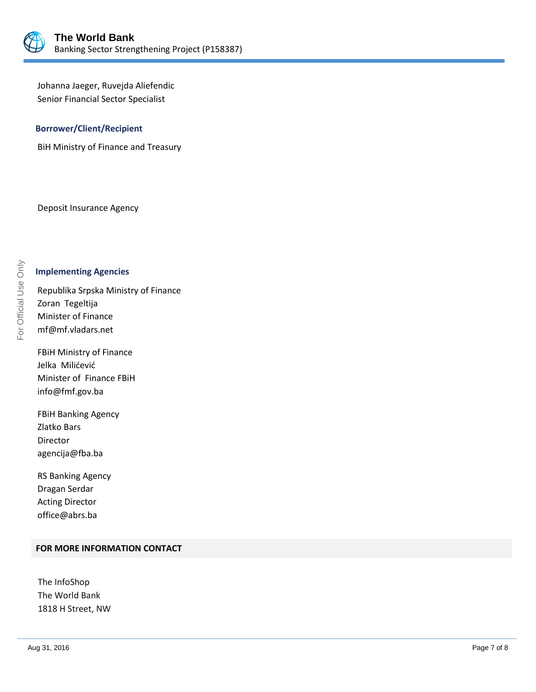

Johanna Jaeger, Ruvejda Aliefendic Senior Financial Sector Specialist

#### **Borrower/Client/Recipient**

BiH Ministry of Finance and Treasury

Deposit Insurance Agency

## **Implementing Agencies**

Republika Srpska Ministry of Finance Zoran Tegeltija Minister of Finance mf@mf.vladars.net

FBiH Ministry of Finance Jelka Milićević Minister of Finance FBiH info@fmf.gov.ba

FBiH Banking Agency Zlatko Bars Director agencija@fba.ba

RS Banking Agency Dragan Serdar Acting Director office@abrs.ba

#### **FOR MORE INFORMATION CONTACT**

The InfoShop The World Bank 1818 H Street, NW